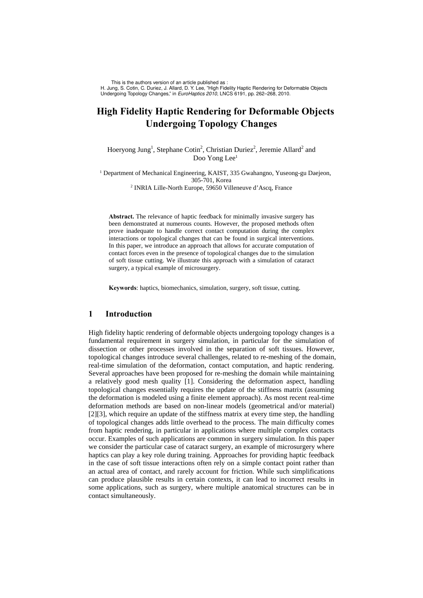This is the authors version of an article published as : H. Jung, S. Cotin, C. Duriez, J. Allard, D. Y. Lee, "High Fidelity Haptic Rendering for Deformable Objects Undergoing Topology Changes," in *EuroHaptics 2010*, LNCS 6191, pp. 262–268, 2010.

# **High Fidelity Haptic Rendering for Deformable Objects Undergoing Topology Changes**

Hoeryong Jung<sup>1</sup>, Stephane Cotin<sup>2</sup>, Christian Duriez<sup>2</sup>, Jeremie Allard<sup>2</sup> and Doo Yong Lee<sup>1</sup>

1 Department of Mechanical Engineering, KAIST, 335 Gwahangno, Yuseong-gu Daejeon, 305-701, Korea 2 INRIA Lille-North Europe, 59650 Villeneuve d'Ascq, France

**Abstract.** The relevance of haptic feedback for minimally invasive surgery has been demonstrated at numerous counts. However, the proposed methods often prove inadequate to handle correct contact computation during the complex interactions or topological changes that can be found in surgical interventions. In this paper, we introduce an approach that allows for accurate computation of contact forces even in the presence of topological changes due to the simulation of soft tissue cutting. We illustrate this approach with a simulation of cataract surgery, a typical example of microsurgery.

**Keywords**: haptics, biomechanics, simulation, surgery, soft tissue, cutting.

## **1 Introduction**

High fidelity haptic rendering of deformable objects undergoing topology changes is a fundamental requirement in surgery simulation, in particular for the simulation of dissection or other processes involved in the separation of soft tissues. However, topological changes introduce several challenges, related to re-meshing of the domain, real-time simulation of the deformation, contact computation, and haptic rendering. Several approaches have been proposed for re-meshing the domain while maintaining a relatively good mesh quality [1]. Considering the deformation aspect, handling topological changes essentially requires the update of the stiffness matrix (assuming the deformation is modeled using a finite element approach). As most recent real-time deformation methods are based on non-linear models (geometrical and/or material) [2][3], which require an update of the stiffness matrix at every time step, the handling of topological changes adds little overhead to the process. The main difficulty comes from haptic rendering, in particular in applications where multiple complex contacts occur. Examples of such applications are common in surgery simulation. In this paper we consider the particular case of cataract surgery, an example of microsurgery where haptics can play a key role during training. Approaches for providing haptic feedback in the case of soft tissue interactions often rely on a simple contact point rather than an actual area of contact, and rarely account for friction. While such simplifications can produce plausible results in certain contexts, it can lead to incorrect results in some applications, such as surgery, where multiple anatomical structures can be in contact simultaneously.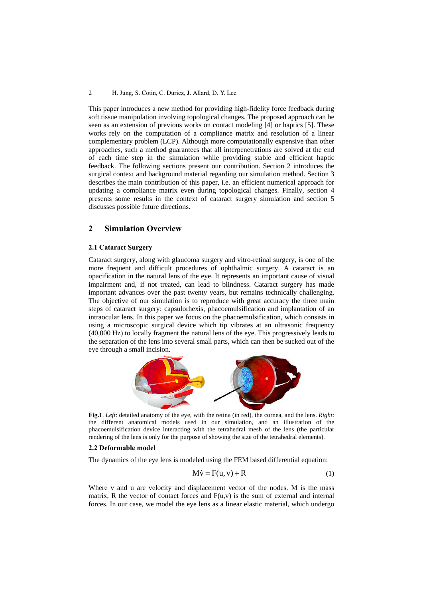### 2 H. Jung, S. Cotin, C. Duriez, J. Allard, D. Y. Lee

This paper introduces a new method for providing high-fidelity force feedback during soft tissue manipulation involving topological changes. The proposed approach can be seen as an extension of previous works on contact modeling [4] or haptics [5]. These works rely on the computation of a compliance matrix and resolution of a linear complementary problem (LCP). Although more computationally expensive than other approaches, such a method guarantees that all interpenetrations are solved at the end of each time step in the simulation while providing stable and efficient haptic feedback. The following sections present our contribution. Section 2 introduces the surgical context and background material regarding our simulation method. Section 3 describes the main contribution of this paper, i.e. an efficient numerical approach for updating a compliance matrix even during topological changes. Finally, section 4 presents some results in the context of cataract surgery simulation and section 5 discusses possible future directions.

# **2 Simulation Overview**

#### **2.1 Cataract Surgery**

Cataract surgery, along with glaucoma surgery and vitro-retinal surgery, is one of the more frequent and difficult procedures of ophthalmic surgery. A cataract is an opacification in the natural lens of the eye. It represents an important cause of visual impairment and, if not treated, can lead to blindness. Cataract surgery has made important advances over the past twenty years, but remains technically challenging. The objective of our simulation is to reproduce with great accuracy the three main steps of cataract surgery: capsulorhexis, phacoemulsification and implantation of an intraocular lens. In this paper we focus on the phacoemulsification, which consists in using a microscopic surgical device which tip vibrates at an ultrasonic frequency (40,000 Hz) to locally fragment the natural lens of the eye. This progressively leads to the separation of the lens into several small parts, which can then be sucked out of the eye through a small incision.



**Fig.1**. *Left*: detailed anatomy of the eye, with the retina (in red), the cornea, and the lens. *Right*: the different anatomical models used in our simulation, and an illustration of the phacoemulsification device interacting with the tetrahedral mesh of the lens (the particular rendering of the lens is only for the purpose of showing the size of the tetrahedral elements).

#### **2.2 Deformable model**

The dynamics of the eye lens is modeled using the FEM based differential equation:

$$
M\dot{v} = F(u, v) + R \tag{1}
$$

Where v and u are velocity and displacement vector of the nodes. M is the mass matrix, R the vector of contact forces and  $F(u,v)$  is the sum of external and internal forces. In our case, we model the eye lens as a linear elastic material, which undergo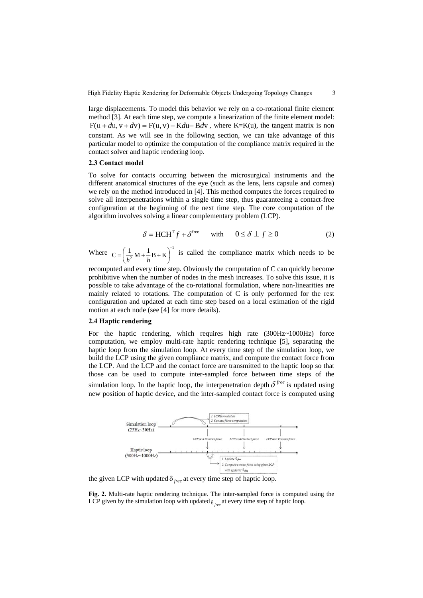large displacements. To model this behavior we rely on a co-rotational finite element method [3]. At each time step, we compute a linearization of the finite element model:  $F(u + du, v + dv) = F(u, v) - Kdu - Bdv$ , where K=K(u), the tangent matrix is non constant. As we will see in the following section, we can take advantage of this particular model to optimize the computation of the compliance matrix required in the contact solver and haptic rendering loop.

#### **2.3 Contact model**

To solve for contacts occurring between the microsurgical instruments and the different anatomical structures of the eye (such as the lens, lens capsule and cornea) we rely on the method introduced in [4]. This method computes the forces required to solve all interpenetrations within a single time step, thus guaranteeing a contact-free configuration at the beginning of the next time step. The core computation of the algorithm involves solving a linear complementary problem (LCP).

$$
\delta = \text{HCH}^{\text{T}} f + \delta^{\text{free}} \quad \text{with} \quad 0 \le \delta \perp f \ge 0 \tag{2}
$$

Where  $C = \left(\frac{1}{b^2}M + \frac{1}{b}B + K\right)^{-1}$  $\left(\frac{1}{h^2}M+\frac{1}{h}B+K\right)$  $=\left(\frac{1}{h^2}M + \frac{1}{h}B + \cdots\right)$ is called the compliance matrix which needs to be

recomputed and every time step. Obviously the computation of C can quickly become prohibitive when the number of nodes in the mesh increases. To solve this issue, it is possible to take advantage of the co-rotational formulation, where non-linearities are mainly related to rotations. The computation of C is only performed for the rest configuration and updated at each time step based on a local estimation of the rigid motion at each node (see [4] for more details).

#### **2.4 Haptic rendering**

For the haptic rendering, which requires high rate (300Hz~1000Hz) force computation, we employ multi-rate haptic rendering technique [5], separating the haptic loop from the simulation loop. At every time step of the simulation loop, we build the LCP using the given compliance matrix, and compute the contact force from the LCP. And the LCP and the contact force are transmitted to the haptic loop so that those can be used to compute inter-sampled force between time steps of the simulation loop. In the haptic loop, the interpenetration depth  $\delta^{free}$  is updated using new position of haptic device, and the inter-sampled contact force is computed using



the given LCP with updated δ *free* at every time step of haptic loop.

**Fig. 2.** Multi-rate haptic rendering technique. The inter-sampled force is computed using the LCP given by the simulation loop with updated  $\delta_{\text{max}}$  at every time step of haptic loop.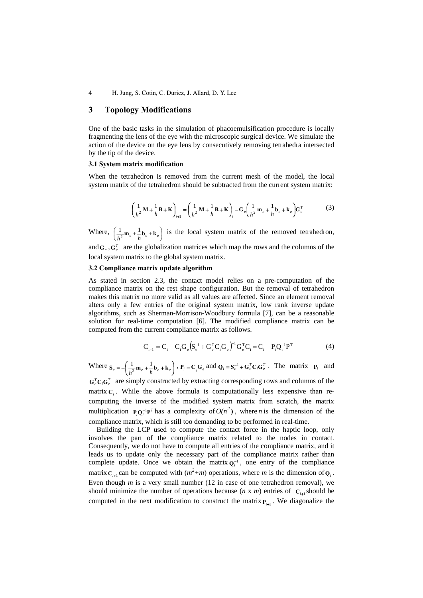### **3 Topology Modifications**

One of the basic tasks in the simulation of phacoemulsification procedure is locally fragmenting the lens of the eye with the microscopic surgical device. We simulate the action of the device on the eye lens by consecutively removing tetrahedra intersected by the tip of the device.

### **3.1 System matrix modification**

When the tetrahedron is removed from the current mesh of the model, the local system matrix of the tetrahedron should be subtracted from the current system matrix:

$$
\left(\frac{1}{h^2}\mathbf{M} + \frac{1}{h}\mathbf{B} + \mathbf{K}\right)_{i+1} = \left(\frac{1}{h^2}\mathbf{M} + \frac{1}{h}\mathbf{B} + \mathbf{K}\right)_{i} - \mathbf{G}_e \left(\frac{1}{h^2}\mathbf{m}_e + \frac{1}{h}\mathbf{b}_e + \mathbf{k}_e\right) \mathbf{G}_e^T
$$
 (3)

Where,  $\left(\frac{1}{h^2}\mathbf{m}_e + \frac{1}{h}\mathbf{b}_e + \mathbf{k}_e\right)$  $\left(\frac{1}{h^2}\mathbf{m}_e + \frac{1}{h}\mathbf{b}_e + \mathbf{k}_e\right)$  is the local system matrix of the removed tetrahedron, and  $\mathbf{G}_e$ ,  $\mathbf{G}_e^T$  are the globalization matrices which map the rows and the columns of the

local system matrix to the global system matrix.

#### **3.2 Compliance matrix update algorithm**

As stated in section 2.3, the contact model relies on a pre-computation of the compliance matrix on the rest shape configuration. But the removal of tetrahedron makes this matrix no more valid as all values are affected. Since an element removal alters only a few entries of the original system matrix, low rank inverse update algorithms, such as Sherman-Morrison-Woodbury formula [7], can be a reasonable solution for real-time computation [6]. The modified compliance matrix can be computed from the current compliance matrix as follows.

$$
C_{i+1} = C_i - C_i G_e (S_e^{-1} + G_e^T C_i G_e)^{-1} G_e^T C_i = C_i - P_i Q_i^{-1} P^T
$$
(4)

Where  $S_e = -\left(\frac{1}{h^2} m_e + \frac{1}{h} b_e + k_e\right)$  $S_e = -\left(\frac{1}{h^2} m_e + \frac{1}{h} b_e + k_e\right)$ ,  $P_i = C_i G_e$  and  $Q_i = S_e^{-1} + G_e^T C_i G_e^T$ . The matrix  $P_i$  and

 $G_e^T C_i G_e^T$  are simply constructed by extracting corresponding rows and columns of the matrix  $C_i$ . While the above formula is computationally less expensive than recomputing the inverse of the modified system matrix from scratch, the matrix multiplication  $P_i Q_i^{-1} P^T$  has a complexity of  $O(n^2)$ , where *n* is the dimension of the compliance matrix, which is still too demanding to be performed in real-time.

Building the LCP used to compute the contact force in the haptic loop, only involves the part of the compliance matrix related to the nodes in contact. Consequently, we do not have to compute all entries of the compliance matrix, and it leads us to update only the necessary part of the compliance matrix rather than complete update. Once we obtain the matrix  $Q_i^{-1}$ , one entry of the compliance matrix  $C_{i+1}$  can be computed with  $(m^2+m)$  operations, where *m* is the dimension of  $Q_i$ . Even though *m* is a very small number (12 in case of one tetrahedron removal), we should minimize the number of operations because  $(n \times m)$  entries of  $C_{i+1}$  should be computed in the next modification to construct the matrix  $P_{i+1}$ . We diagonalize the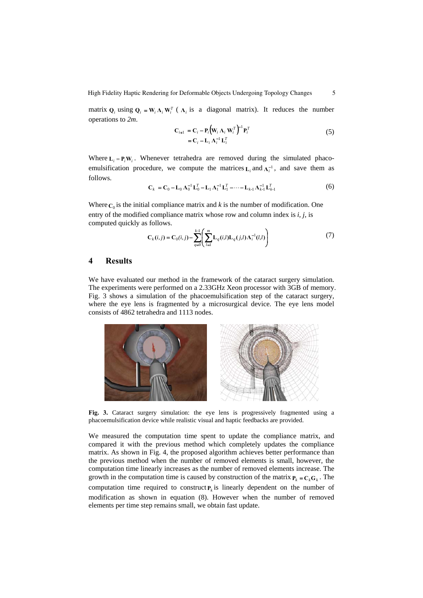High Fidelity Haptic Rendering for Deformable Objects Undergoing Topology Changes 5

matrix  $Q_i$  using  $Q_i = W_i \Lambda_i W_i^T$  ( $\Lambda_i$  is a diagonal matrix). It reduces the number operations to *2m*.

$$
\mathbf{C}_{i+1} = \mathbf{C}_i - \mathbf{P}_i \Big( \mathbf{W}_i \, \mathbf{\Lambda}_i \, \mathbf{W}_i^T \Big)^{-1} \mathbf{P}_i^T
$$
\n
$$
= \mathbf{C}_i - \mathbf{L}_i \, \mathbf{\Lambda}_i^{-1} \, \mathbf{L}_i^T
$$
\n(5)

Where  $\mathbf{L}_i = \mathbf{P}_i \mathbf{W}_i$ . Whenever tetrahedra are removed during the simulated phacoemulsification procedure, we compute the matrices  $\mathbf{L}_i$  and  $\mathbf{\Lambda}_i^{-1}$ , and save them as follows.

$$
\mathbf{C}_{k} = \mathbf{C}_{0} - \mathbf{L}_{0} \Lambda_{0}^{-1} \mathbf{L}_{0}^{T} - \mathbf{L}_{1} \Lambda_{1}^{-1} \mathbf{L}_{1}^{T} - \dots - \mathbf{L}_{k-1} \Lambda_{k-1}^{-1} \mathbf{L}_{k-1}^{T}
$$
(6)

Where  $C_0$  is the initial compliance matrix and *k* is the number of modification. One entry of the modified compliance matrix whose row and column index is *i, j,* is computed quickly as follows.

$$
\mathbf{C}_{k}(i,j) = \mathbf{C}_{0}(i,j) - \sum_{q=0}^{k-1} \left( \sum_{l=1}^{m} \mathbf{L}_{q}(i,l) \mathbf{L}_{q}(j,l) \Lambda_{i}^{-1}(l,l) \right)
$$
(7)

## **4 Results**

We have evaluated our method in the framework of the cataract surgery simulation. The experiments were performed on a 2.33GHz Xeon processor with 3GB of memory. Fig. 3 shows a simulation of the phacoemulsification step of the cataract surgery, where the eye lens is fragmented by a microsurgical device. The eye lens model consists of 4862 tetrahedra and 1113 nodes.



**Fig. 3.** Cataract surgery simulation: the eye lens is progressively fragmented using a phacoemulsification device while realistic visual and haptic feedbacks are provided.

We measured the computation time spent to update the compliance matrix, and compared it with the previous method which completely updates the compliance matrix. As shown in Fig. 4, the proposed algorithm achieves better performance than the previous method when the number of removed elements is small, however, the computation time linearly increases as the number of removed elements increase. The growth in the computation time is caused by construction of the matrix  $P_k = C_k G_k$ . The computation time required to construct  $P_k$  is linearly dependent on the number of modification as shown in equation (8). However when the number of removed elements per time step remains small, we obtain fast update.